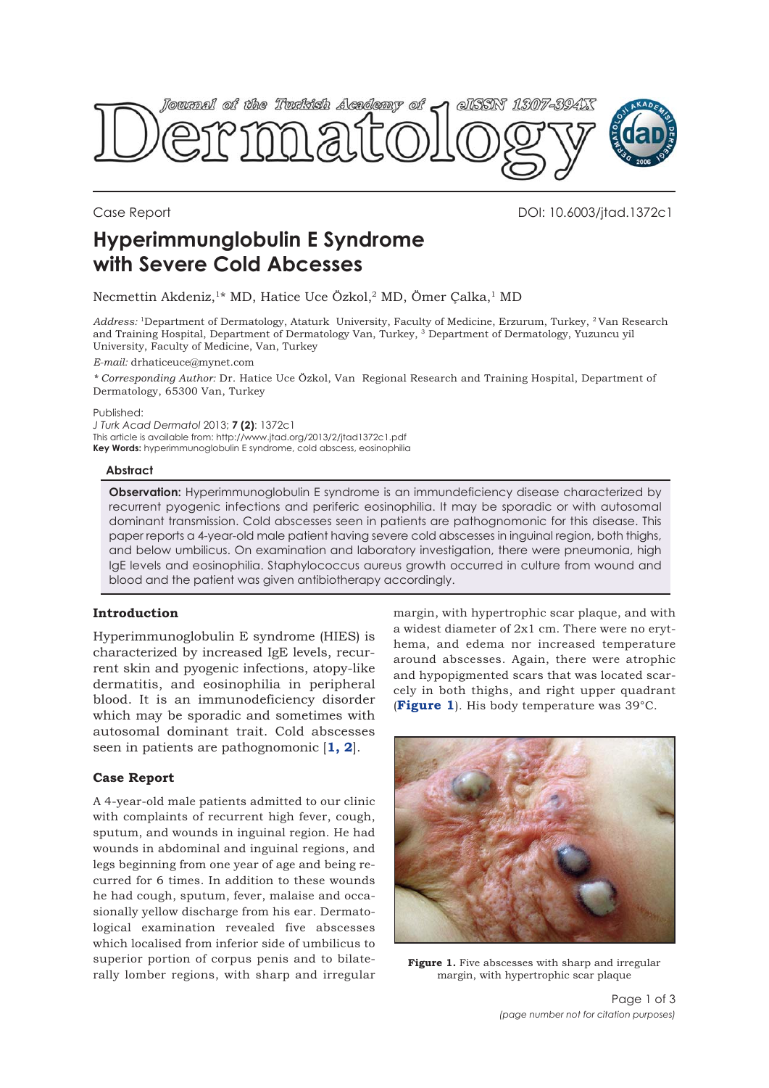

Case Report DOI: 10.6003/jtad.1372c1

# **Hyperimmunglobulin E Syndrome with Severe Cold Abcesses**

Necmettin Akdeniz,<sup>1\*</sup> MD, Hatice Uce Özkol,<sup>2</sup> MD, Ömer Çalka,<sup>1</sup> MD

*Address:* 1Department of Dermatology, Ataturk University, Faculty of Medicine, Erzurum, Turkey, 2 Van Research and Training Hospital, Department of Dermatology Van, Turkey, 3 Department of Dermatology, Yuzuncu yil University, Faculty of Medicine, Van, Turkey

*E-mail:* drhaticeuce@mynet.com

*\* Corresponding Author:* Dr. Hatice Uce Özkol, Van Regional Research and Training Hospital, Department of Dermatology, 65300 Van, Turkey

Published:

*J Turk Acad Dermatol* 2013; **7 (2)**: 1372c1 This article is available from: http://www.jtad.org/2013/2/jtad1372c1.pdf **Key Words:** hyperimmunoglobulin E syndrome, cold abscess, eosinophilia

#### **Abstract**

**Observation:** Hyperimmunoglobulin E syndrome is an immundeficiency disease characterized by recurrent pyogenic infections and periferic eosinophilia. It may be sporadic or with autosomal dominant transmission. Cold abscesses seen in patients are pathognomonic for this disease. This paper reports a 4-year-old male patient having severe cold abscesses in inguinal region, both thighs, and below umbilicus. On examination and laboratory investigation, there were pneumonia, high IgE levels and eosinophilia. Staphylococcus aureus growth occurred in culture from wound and blood and the patient was given antibiotherapy accordingly.

# **Introduction**

Hyperimmunoglobulin E syndrome (HIES) is characterized by increased IgE levels, recurrent skin and pyogenic infections, atopy-like dermatitis, and eosinophilia in peripheral blood. It is an immunodeficiency disorder which may be sporadic and sometimes with autosomal dominant trait. Cold abscesses seen in patients are pathognomonic [**1, 2**].

# **Case Report**

A 4-year-old male patients admitted to our clinic with complaints of recurrent high fever, cough, sputum, and wounds in inguinal region. He had wounds in abdominal and inguinal regions, and legs beginning from one year of age and being recurred for 6 times. In addition to these wounds he had cough, sputum, fever, malaise and occasionally yellow discharge from his ear. Dermatological examination revealed five abscesses which localised from inferior side of umbilicus to superior portion of corpus penis and to bilaterally lomber regions, with sharp and irregular

margin, with hypertrophic scar plaque, and with a widest diameter of 2x1 cm. There were no erythema, and edema nor increased temperature around abscesses. Again, there were atrophic and hypopigmented scars that was located scarcely in both thighs, and right upper quadrant (**Figure 1**). His body temperature was 39°C.



Figure 1. Five abscesses with sharp and irregular margin, with hypertrophic scar plaque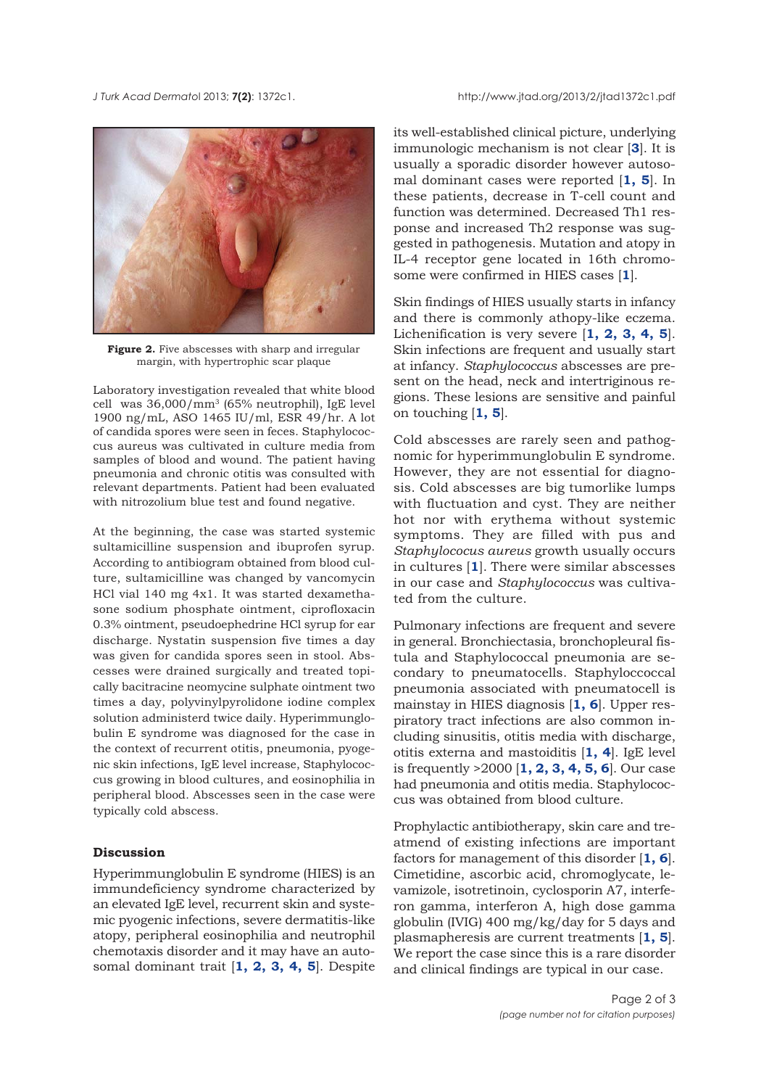

**Figure 2.** Five abscesses with sharp and irregular margin, with hypertrophic scar plaque

Laboratory investigation revealed that white blood cell was 36,000/mm3 (65% neutrophil), IgE level 1900 ng/mL, ASO 1465 IU/ml, ESR 49/hr. A lot of candida spores were seen in feces. Staphylococcus aureus was cultivated in culture media from samples of blood and wound. The patient having pneumonia and chronic otitis was consulted with relevant departments. Patient had been evaluated with nitrozolium blue test and found negative.

At the beginning, the case was started systemic sultamicilline suspension and ibuprofen syrup. According to antibiogram obtained from blood culture, sultamicilline was changed by vancomycin HCl vial 140 mg 4x1. It was started dexamethasone sodium phosphate ointment, ciprofloxacin 0.3% ointment, pseudoephedrine HCl syrup for ear discharge. Nystatin suspension five times a day was given for candida spores seen in stool. Abscesses were drained surgically and treated topically bacitracine neomycine sulphate ointment two times a day, polyvinylpyrolidone iodine complex solution administerd twice daily. Hyperimmunglobulin E syndrome was diagnosed for the case in the context of recurrent otitis, pneumonia, pyogenic skin infections, IgE level increase, Staphylococcus growing in blood cultures, and eosinophilia in peripheral blood. Abscesses seen in the case were typically cold abscess.

#### **Discussion**

Hyperimmunglobulin E syndrome (HIES) is an immundeficiency syndrome characterized by an elevated IgE level, recurrent skin and systemic pyogenic infections, severe dermatitis-like atopy, peripheral eosinophilia and neutrophil chemotaxis disorder and it may have an autosomal dominant trait [**1, 2, 3, 4, 5**]. Despite

its well-established clinical picture, underlying immunologic mechanism is not clear [**3**]. It is usually a sporadic disorder however autosomal dominant cases were reported [**1, 5**]. In these patients, decrease in T-cell count and function was determined. Decreased Th1 response and increased Th2 response was suggested in pathogenesis. Mutation and atopy in IL-4 receptor gene located in 16th chromosome were confirmed in HIES cases [**1**].

Skin findings of HIES usually starts in infancy and there is commonly athopy-like eczema. Lichenification is very severe [**1, 2, 3, 4, 5**]. Skin infections are frequent and usually start at infancy. *Staphylococcus* abscesses are present on the head, neck and intertriginous regions. These lesions are sensitive and painful on touching [**1, 5**].

Cold abscesses are rarely seen and pathognomic for hyperimmunglobulin E syndrome. However, they are not essential for diagnosis. Cold abscesses are big tumorlike lumps with fluctuation and cyst. They are neither hot nor with erythema without systemic symptoms. They are filled with pus and *Staphylococus aureus* growth usually occurs in cultures [**1**]. There were similar abscesses in our case and *Staphylococcus* was cultivated from the culture.

Pulmonary infections are frequent and severe in general. Bronchiectasia, bronchopleural fistula and Staphylococcal pneumonia are secondary to pneumatocells. Staphyloccoccal pneumonia associated with pneumatocell is mainstay in HIES diagnosis [**1, 6**]. Upper respiratory tract infections are also common including sinusitis, otitis media with discharge, otitis externa and mastoiditis [**1, 4**]. IgE level is frequently >2000 [**1, 2, 3, 4, 5, 6**]. Our case had pneumonia and otitis media. Staphylococcus was obtained from blood culture.

Prophylactic antibiotherapy, skin care and treatmend of existing infections are important factors for management of this disorder [**1, 6**]. Cimetidine, ascorbic acid, chromoglycate, levamizole, isotretinoin, cyclosporin A7, interferon gamma, interferon A, high dose gamma globulin (IVIG) 400 mg/kg/day for 5 days and plasmapheresis are current treatments [**1, 5**]. We report the case since this is a rare disorder and clinical findings are typical in our case.